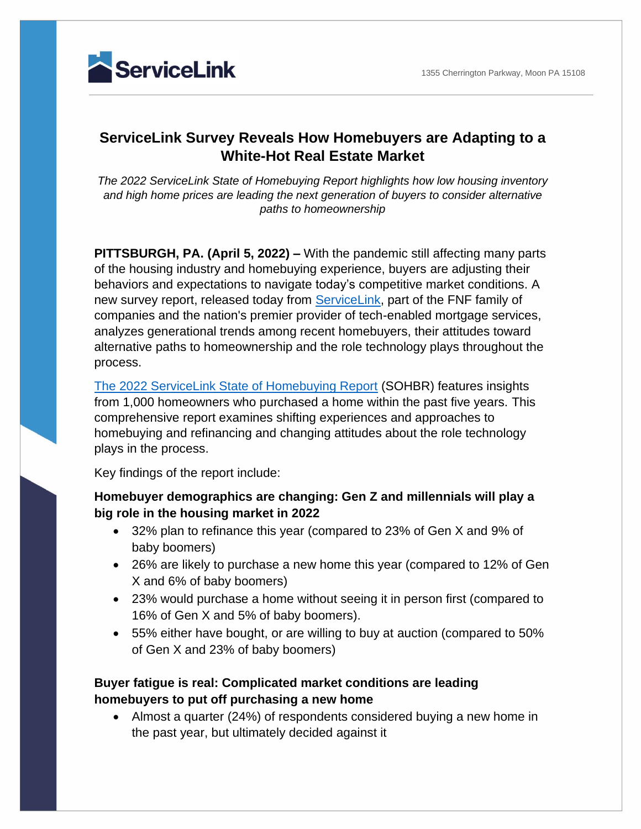

# **ServiceLink Survey Reveals How Homebuyers are Adapting to a White-Hot Real Estate Market**

*The 2022 ServiceLink State of Homebuying Report highlights how low housing inventory and high home prices are leading the next generation of buyers to consider alternative paths to homeownership*

**PITTSBURGH, PA. (April 5, 2022) –** With the pandemic still affecting many parts of the housing industry and homebuying experience, buyers are adjusting their behaviors and expectations to navigate today's competitive market conditions. A new survey report, released today from [ServiceLink,](https://www.svclnk.com/) part of the FNF family of companies and the nation's premier provider of tech-enabled mortgage services, analyzes generational trends among recent homebuyers, their attitudes toward alternative paths to homeownership and the role technology plays throughout the process.

[The 2022 ServiceLink State of Homebuying Report](https://go.svclnk.com/state-of-homebuying-report-2022.html) (SOHBR) features insights from 1,000 homeowners who purchased a home within the past five years. This comprehensive report examines shifting experiences and approaches to homebuying and refinancing and changing attitudes about the role technology plays in the process.

Key findings of the report include:

**Homebuyer demographics are changing: Gen Z and millennials will play a big role in the housing market in 2022** 

- 32% plan to refinance this year (compared to 23% of Gen X and 9% of baby boomers)
- 26% are likely to purchase a new home this year (compared to 12% of Gen X and 6% of baby boomers)
- 23% would purchase a home without seeing it in person first (compared to 16% of Gen X and 5% of baby boomers).
- 55% either have bought, or are willing to buy at auction (compared to 50% of Gen X and 23% of baby boomers)

### **Buyer fatigue is real: Complicated market conditions are leading homebuyers to put off purchasing a new home**

• Almost a quarter (24%) of respondents considered buying a new home in the past year, but ultimately decided against it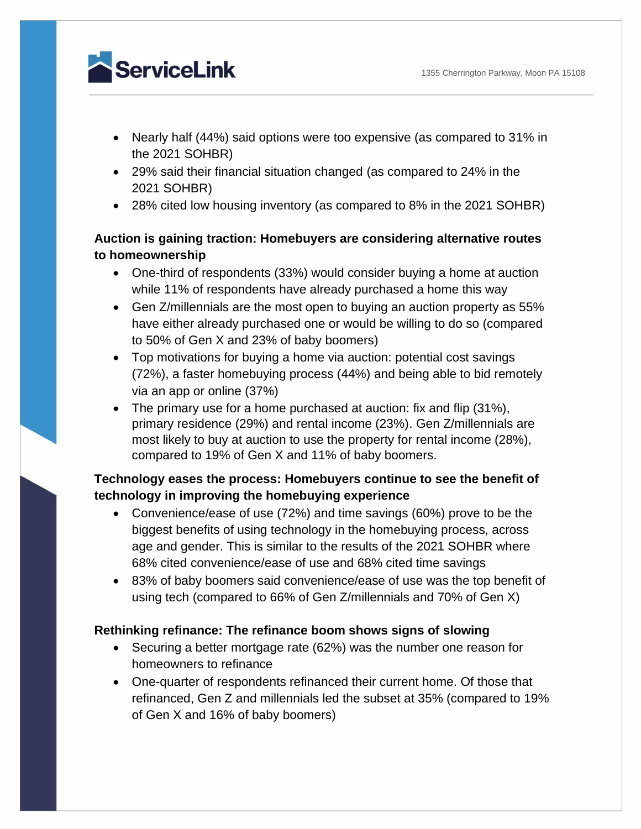

- Nearly half (44%) said options were too expensive (as compared to 31% in the 2021 SOHBR)
- 29% said their financial situation changed (as compared to 24% in the 2021 SOHBR)
- 28% cited low housing inventory (as compared to 8% in the 2021 SOHBR)

### **Auction is gaining traction: Homebuyers are considering alternative routes to homeownership**

- One-third of respondents (33%) would consider buying a home at auction while 11% of respondents have already purchased a home this way
- Gen Z/millennials are the most open to buying an auction property as 55% have either already purchased one or would be willing to do so (compared to 50% of Gen X and 23% of baby boomers)
- Top motivations for buying a home via auction: potential cost savings (72%), a faster homebuying process (44%) and being able to bid remotely via an app or online (37%)
- The primary use for a home purchased at auction: fix and flip (31%), primary residence (29%) and rental income (23%). Gen Z/millennials are most likely to buy at auction to use the property for rental income (28%), compared to 19% of Gen X and 11% of baby boomers.

## **Technology eases the process: Homebuyers continue to see the benefit of technology in improving the homebuying experience**

- Convenience/ease of use (72%) and time savings (60%) prove to be the biggest benefits of using technology in the homebuying process, across age and gender. This is similar to the results of the 2021 SOHBR where 68% cited convenience/ease of use and 68% cited time savings
- 83% of baby boomers said convenience/ease of use was the top benefit of using tech (compared to 66% of Gen Z/millennials and 70% of Gen X)

### **Rethinking refinance: The refinance boom shows signs of slowing**

- Securing a better mortgage rate (62%) was the number one reason for homeowners to refinance
- One-quarter of respondents refinanced their current home. Of those that refinanced, Gen Z and millennials led the subset at 35% (compared to 19% of Gen X and 16% of baby boomers)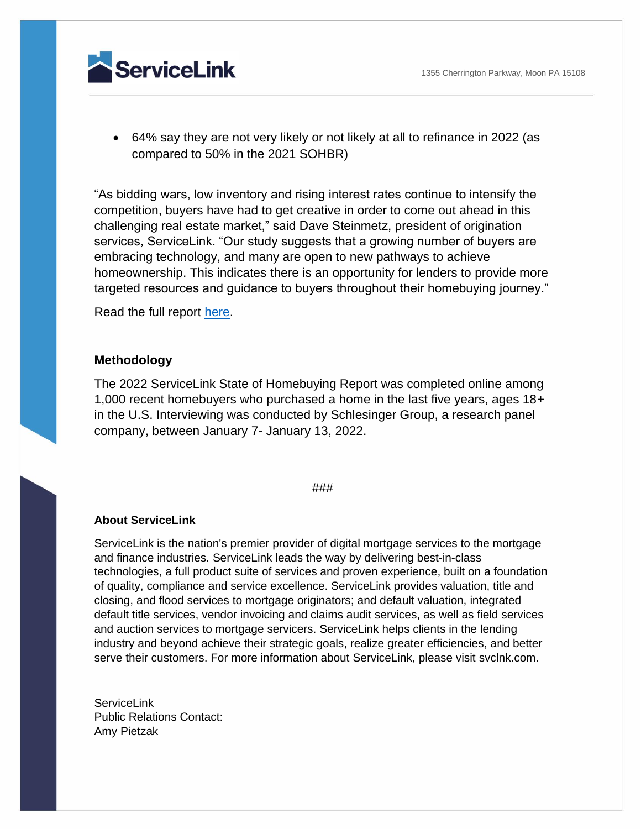1355 Cherrington Parkway, Moon PA 15108

ServiceLink

• 64% say they are not very likely or not likely at all to refinance in 2022 (as compared to 50% in the 2021 SOHBR)

"As bidding wars, low inventory and rising interest rates continue to intensify the competition, buyers have had to get creative in order to come out ahead in this challenging real estate market," said Dave Steinmetz, president of origination services, ServiceLink. "Our study suggests that a growing number of buyers are embracing technology, and many are open to new pathways to achieve homeownership. This indicates there is an opportunity for lenders to provide more targeted resources and guidance to buyers throughout their homebuying journey."

Read the full report [here.](https://go.svclnk.com/state-of-homebuying-report-2022.html)

#### **Methodology**

The 2022 ServiceLink State of Homebuying Report was completed online among 1,000 recent homebuyers who purchased a home in the last five years, ages 18+ in the U.S. Interviewing was conducted by Schlesinger Group, a research panel company, between January 7- January 13, 2022.

#### ###

#### **About ServiceLink**

ServiceLink is the nation's premier provider of digital mortgage services to the mortgage and finance industries. ServiceLink leads the way by delivering best-in-class technologies, a full product suite of services and proven experience, built on a foundation of quality, compliance and service excellence. ServiceLink provides valuation, title and closing, and flood services to mortgage originators; and default valuation, integrated default title services, vendor invoicing and claims audit services, as well as field services and auction services to mortgage servicers. ServiceLink helps clients in the lending industry and beyond achieve their strategic goals, realize greater efficiencies, and better serve their customers. For more information about ServiceLink, please visit svclnk.com.

ServiceLink Public Relations Contact: Amy Pietzak